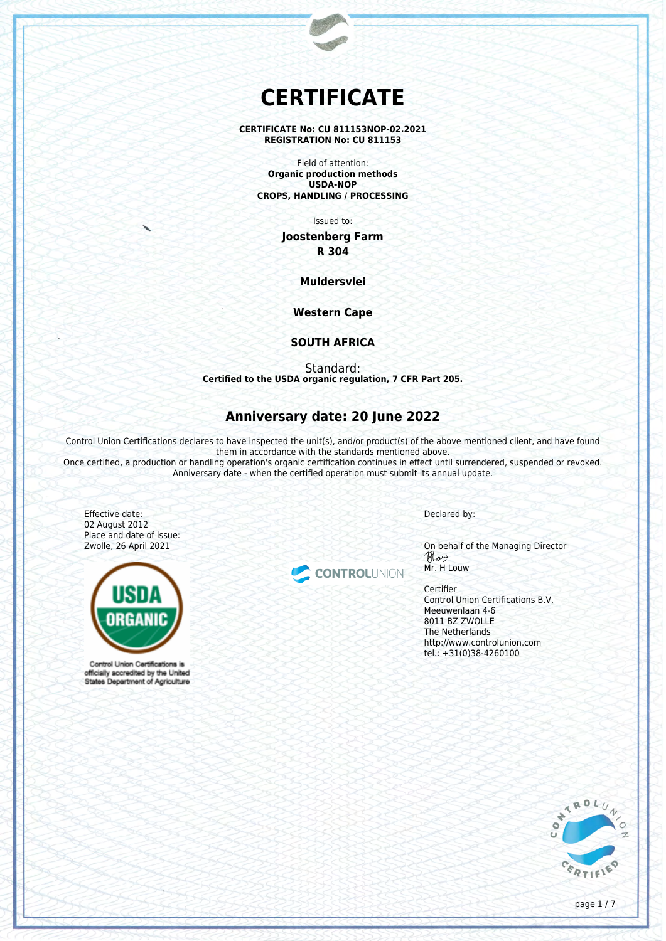# **CERTIFICATE**

#### **CERTIFICATE No: CU 811153NOP-02.2021 REGISTRATION No: CU 811153**

Field of attention: **Organic production methods USDA-NOP CROPS, HANDLING / PROCESSING**

Issued to:

**Joostenberg Farm R 304**

**Muldersvlei**

**Western Cape**

## **SOUTH AFRICA**

Standard: **Certified to the USDA organic regulation, 7 CFR Part 205.**

## **Anniversary date: 20 June 2022**

Control Union Certifications declares to have inspected the unit(s), and/or product(s) of the above mentioned client, and have found them in accordance with the standards mentioned above.

Once certified, a production or handling operation's organic certification continues in effect until surrendered, suspended or revoked. Anniversary date - when the certified operation must submit its annual update.

Effective date: 02 August 2012 Place and date of issue: Zwolle, 26 April 2021



Control Union Certifications is officially accredited by the United States Department of Agriculture



Declared by:

On behalf of the Managing Director Mr. H Louw

Certifier Control Union Certifications B.V. Meeuwenlaan 4-6 8011 BZ ZWOLLE The Netherlands http://www.controlunion.com tel.: +31(0)38-4260100

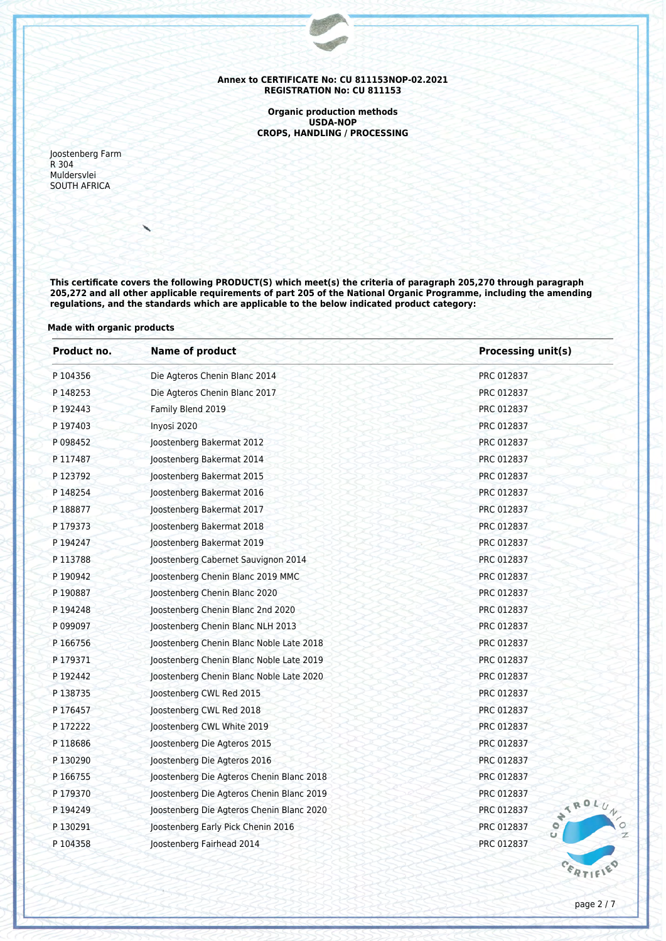**Organic production methods USDA-NOP CROPS, HANDLING / PROCESSING**

Joostenberg Farm R 304 Muldersvlei SOUTH AFRICA

**This certificate covers the following PRODUCT(S) which meet(s) the criteria of paragraph 205,270 through paragraph 205,272 and all other applicable requirements of part 205 of the National Organic Programme, including the amending regulations, and the standards which are applicable to the below indicated product category:**

## **Made with organic products**

| Product no. | <b>Name of product</b>                                  | <b>Processing unit(s)</b><br>PRC 012837 |  |  |
|-------------|---------------------------------------------------------|-----------------------------------------|--|--|
| P 104356    | Die Agteros Chenin Blanc 2014                           |                                         |  |  |
| P 148253    | Die Agteros Chenin Blanc 2017                           | PRC 012837                              |  |  |
| P 192443    | Family Blend 2019                                       | PRC 012837                              |  |  |
| P 197403    | Inyosi 2020                                             | PRC 012837                              |  |  |
| P 098452    | Joostenberg Bakermat 2012                               | PRC 012837                              |  |  |
| P 117487    | Joostenberg Bakermat 2014                               | PRC 012837                              |  |  |
| P 123792    | Joostenberg Bakermat 2015                               | PRC 012837                              |  |  |
| P 148254    | Joostenberg Bakermat 2016                               | PRC 012837                              |  |  |
| P 188877    | Joostenberg Bakermat 2017                               | PRC 012837                              |  |  |
| P 179373    | Joostenberg Bakermat 2018                               | PRC 012837                              |  |  |
| P 194247    | Joostenberg Bakermat 2019                               | PRC 012837                              |  |  |
| P 113788    | Joostenberg Cabernet Sauvignon 2014                     | PRC 012837                              |  |  |
| P 190942    | Joostenberg Chenin Blanc 2019 MMC                       | PRC 012837                              |  |  |
| P 190887    | Joostenberg Chenin Blanc 2020                           | PRC 012837                              |  |  |
| P 194248    | Joostenberg Chenin Blanc 2nd 2020                       | PRC 012837                              |  |  |
| P 099097    | Joostenberg Chenin Blanc NLH 2013                       | PRC 012837                              |  |  |
| P 166756    | Joostenberg Chenin Blanc Noble Late 2018                | PRC 012837                              |  |  |
| P 179371    | Joostenberg Chenin Blanc Noble Late 2019                | PRC 012837                              |  |  |
| P 192442    | Joostenberg Chenin Blanc Noble Late 2020                | PRC 012837                              |  |  |
| P 138735    | Joostenberg CWL Red 2015                                | PRC 012837                              |  |  |
| P 176457    | Joostenberg CWL Red 2018                                | PRC 012837                              |  |  |
| P 172222    | Joostenberg CWL White 2019                              | PRC 012837                              |  |  |
| P 118686    | Joostenberg Die Agteros 2015                            | PRC 012837                              |  |  |
| P 130290    | Joostenberg Die Agteros 2016                            | PRC 012837                              |  |  |
| P 166755    | Joostenberg Die Agteros Chenin Blanc 2018               | PRC 012837                              |  |  |
| P179370     | Joostenberg Die Agteros Chenin Blanc 2019               | PRC 012837<br>ATROL                     |  |  |
| P 194249    | PRC 012837<br>Joostenberg Die Agteros Chenin Blanc 2020 |                                         |  |  |
| P 130291    | Joostenberg Early Pick Chenin 2016                      | $\mathbf{c}$ o<br>PRC 012837            |  |  |
| P 104358    | Joostenberg Fairhead 2014                               | PRC 012837                              |  |  |
|             |                                                         |                                         |  |  |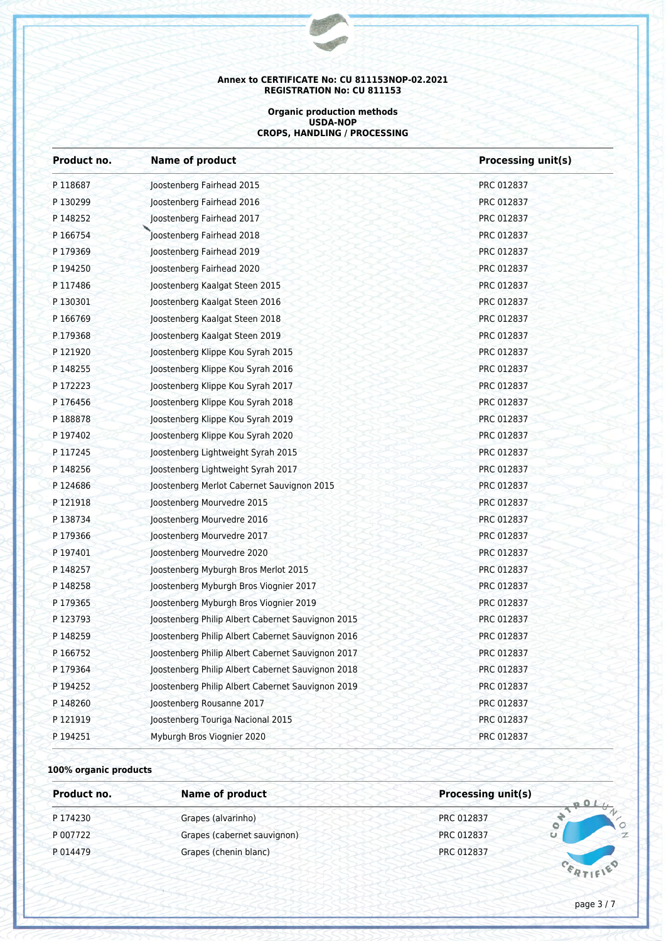#### **Organic production methods USDA-NOP CROPS, HANDLING / PROCESSING**

| Product no. | <b>Name of product</b>                            | <b>Processing unit(s)</b> |  |  |
|-------------|---------------------------------------------------|---------------------------|--|--|
| P 118687    | Joostenberg Fairhead 2015                         | PRC 012837                |  |  |
| P130299     | Joostenberg Fairhead 2016                         | PRC 012837                |  |  |
| P 148252    | Joostenberg Fairhead 2017                         | PRC 012837                |  |  |
| P 166754    | Joostenberg Fairhead 2018                         | PRC 012837                |  |  |
| P179369     | Joostenberg Fairhead 2019                         | PRC 012837                |  |  |
| P 194250    | Joostenberg Fairhead 2020                         | PRC 012837                |  |  |
| P 117486    | Joostenberg Kaalgat Steen 2015                    | PRC 012837                |  |  |
| P 130301    | Joostenberg Kaalgat Steen 2016                    | PRC 012837                |  |  |
| P 166769    | Joostenberg Kaalgat Steen 2018                    | PRC 012837                |  |  |
| P.179368    | Joostenberg Kaalgat Steen 2019                    | PRC 012837                |  |  |
| P 121920    | Joostenberg Klippe Kou Syrah 2015                 | PRC 012837                |  |  |
| P 148255    | Joostenberg Klippe Kou Syrah 2016                 | PRC 012837                |  |  |
| P 172223    | Joostenberg Klippe Kou Syrah 2017                 | PRC 012837                |  |  |
| P176456     | Joostenberg Klippe Kou Syrah 2018                 | PRC 012837                |  |  |
| P 188878    | Joostenberg Klippe Kou Syrah 2019                 | PRC 012837                |  |  |
| P 197402    | Joostenberg Klippe Kou Syrah 2020                 | PRC 012837                |  |  |
| P 117245    | Joostenberg Lightweight Syrah 2015                | PRC 012837                |  |  |
| P 148256    | Joostenberg Lightweight Syrah 2017                | PRC 012837                |  |  |
| P124686     | Joostenberg Merlot Cabernet Sauvignon 2015        | PRC 012837                |  |  |
| P 121918    | Joostenberg Mourvedre 2015                        | PRC 012837                |  |  |
| P 138734    | Joostenberg Mourvedre 2016                        | PRC 012837                |  |  |
| P179366     | Joostenberg Mourvedre 2017                        | PRC 012837                |  |  |
| P 197401    | Joostenberg Mourvedre 2020                        | PRC 012837                |  |  |
| P 148257    | Joostenberg Myburgh Bros Merlot 2015              | PRC 012837                |  |  |
| P 148258    | Joostenberg Myburgh Bros Viognier 2017            | PRC 012837                |  |  |
| P 179365    | Joostenberg Myburgh Bros Viognier 2019            | PRC 012837                |  |  |
| P 123793    | Joostenberg Philip Albert Cabernet Sauvignon 2015 | PRC 012837                |  |  |
| P 148259    | Joostenberg Philip Albert Cabernet Sauvignon 2016 | PRC 012837                |  |  |
| P 166752    | Joostenberg Philip Albert Cabernet Sauvignon 2017 | PRC 012837                |  |  |
| P179364     | Joostenberg Philip Albert Cabernet Sauvignon 2018 | PRC 012837                |  |  |
| P 194252    | Joostenberg Philip Albert Cabernet Sauvignon 2019 | PRC 012837                |  |  |
| P 148260    | Joostenberg Rousanne 2017                         | PRC 012837                |  |  |
| P 121919    | Joostenberg Touriga Nacional 2015                 | PRC 012837                |  |  |
| P 194251    | Myburgh Bros Viognier 2020                        | PRC 012837                |  |  |

## **100% organic products**

| Product no. | <b>Name of product</b>      | <b>Processing unit(s)</b><br>$-0.01$ |                |  |
|-------------|-----------------------------|--------------------------------------|----------------|--|
| P 174230    | Grapes (alvarinho)          | PRC 012837                           | $\circ$        |  |
| P 007722    | Grapes (cabernet sauvignon) | PRC 012837                           | $\overline{z}$ |  |
| P 014479    | Grapes (chenin blanc)       | PRC 012837                           |                |  |
|             |                             |                                      |                |  |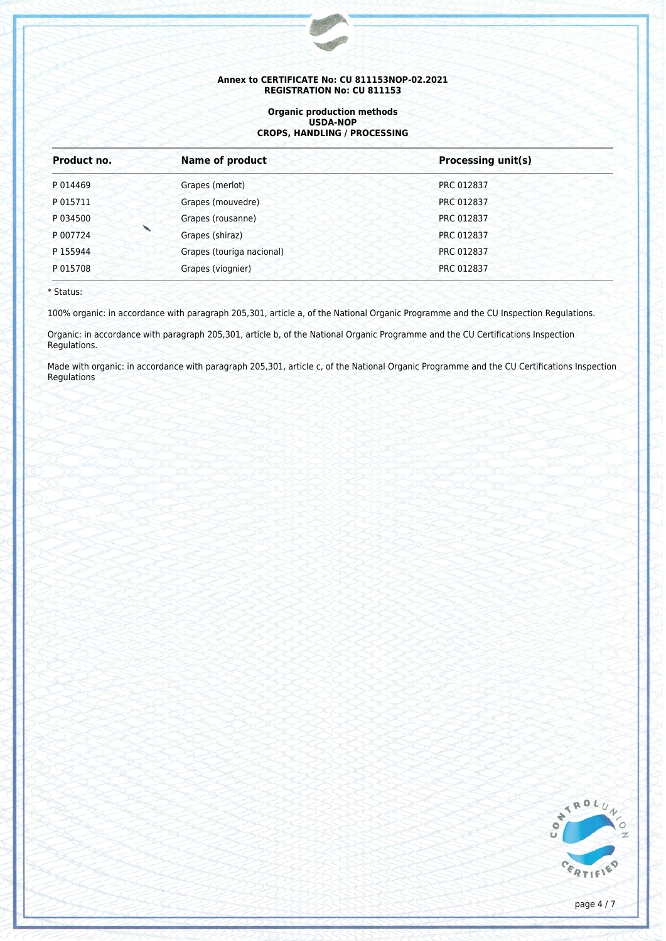#### **Organic production methods USDA-NOP CROPS, HANDLING / PROCESSING**

| Product no.<br><b>Name of product</b> |  |                           | <b>Processing unit(s)</b> |  |
|---------------------------------------|--|---------------------------|---------------------------|--|
| P 014469                              |  | Grapes (merlot)           | PRC 012837                |  |
| P 015711                              |  | Grapes (mouvedre)         | PRC 012837                |  |
| P 034500                              |  | Grapes (rousanne)         | PRC 012837                |  |
| P 007724                              |  | Grapes (shiraz)           | PRC 012837                |  |
| P 155944                              |  | Grapes (touriga nacional) | PRC 012837                |  |
| P 015708                              |  | Grapes (viognier)         | PRC 012837                |  |

\* Status:

100% organic: in accordance with paragraph 205,301, article a, of the National Organic Programme and the CU Inspection Regulations.

Organic: in accordance with paragraph 205,301, article b, of the National Organic Programme and the CU Certifications Inspection Regulations.

Made with organic: in accordance with paragraph 205,301, article c, of the National Organic Programme and the CU Certifications Inspection Regulations

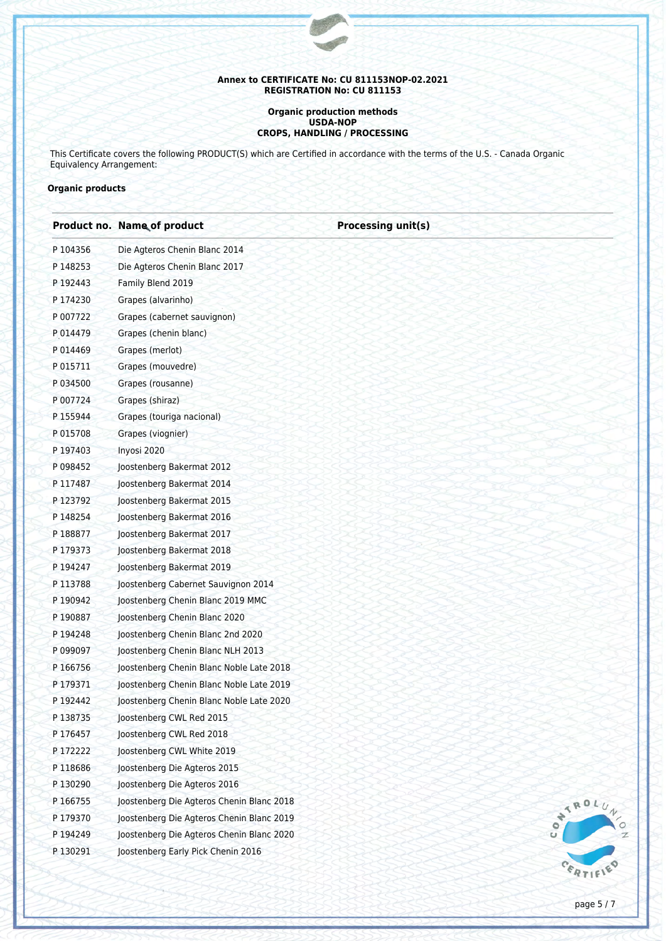#### **Organic production methods USDA-NOP CROPS, HANDLING / PROCESSING**

This Certificate covers the following PRODUCT(S) which are Certified in accordance with the terms of the U.S. - Canada Organic Equivalency Arrangement:

## **Organic products**

|          | <b>Product no. Name of product</b>        | <b>Processing unit(s)</b> |
|----------|-------------------------------------------|---------------------------|
| P 104356 | Die Agteros Chenin Blanc 2014             |                           |
| P 148253 | Die Agteros Chenin Blanc 2017             |                           |
| P 192443 | Family Blend 2019                         |                           |
| P 174230 | Grapes (alvarinho)                        |                           |
| P 007722 | Grapes (cabernet sauvignon)               |                           |
| P 014479 | Grapes (chenin blanc)                     |                           |
| P 014469 | Grapes (merlot)                           |                           |
| P 015711 | Grapes (mouvedre)                         |                           |
| P 034500 | Grapes (rousanne)                         |                           |
| P 007724 | Grapes (shiraz)                           |                           |
| P 155944 | Grapes (touriga nacional)                 |                           |
| P 015708 | Grapes (viognier)                         |                           |
| P 197403 | Inyosi 2020                               |                           |
| P 098452 | Joostenberg Bakermat 2012                 |                           |
| P 117487 | Joostenberg Bakermat 2014                 |                           |
| P 123792 | Joostenberg Bakermat 2015                 |                           |
| P 148254 | Joostenberg Bakermat 2016                 |                           |
| P 188877 | Joostenberg Bakermat 2017                 |                           |
| P 179373 | Joostenberg Bakermat 2018                 |                           |
| P 194247 | Joostenberg Bakermat 2019                 |                           |
| P 113788 | Joostenberg Cabernet Sauvignon 2014       |                           |
| P 190942 | Joostenberg Chenin Blanc 2019 MMC         |                           |
| P 190887 | Joostenberg Chenin Blanc 2020             |                           |
| P 194248 | Joostenberg Chenin Blanc 2nd 2020         |                           |
| P 099097 | Joostenberg Chenin Blanc NLH 2013         |                           |
| P 166756 | Joostenberg Chenin Blanc Noble Late 2018  |                           |
| P 179371 | Joostenberg Chenin Blanc Noble Late 2019  |                           |
| P 192442 | Joostenberg Chenin Blanc Noble Late 2020  |                           |
| P 138735 | Joostenberg CWL Red 2015                  |                           |
| P 176457 | Joostenberg CWL Red 2018                  |                           |
| P 172222 | Joostenberg CWL White 2019                |                           |
| P 118686 | Joostenberg Die Agteros 2015              |                           |
| P130290  | Joostenberg Die Agteros 2016              |                           |
| P 166755 | Joostenberg Die Agteros Chenin Blanc 2018 | ATROL                     |
| P 179370 | Joostenberg Die Agteros Chenin Blanc 2019 |                           |
| P 194249 | Joostenberg Die Agteros Chenin Blanc 2020 |                           |
| P130291  | Joostenberg Early Pick Chenin 2016        |                           |
|          |                                           |                           |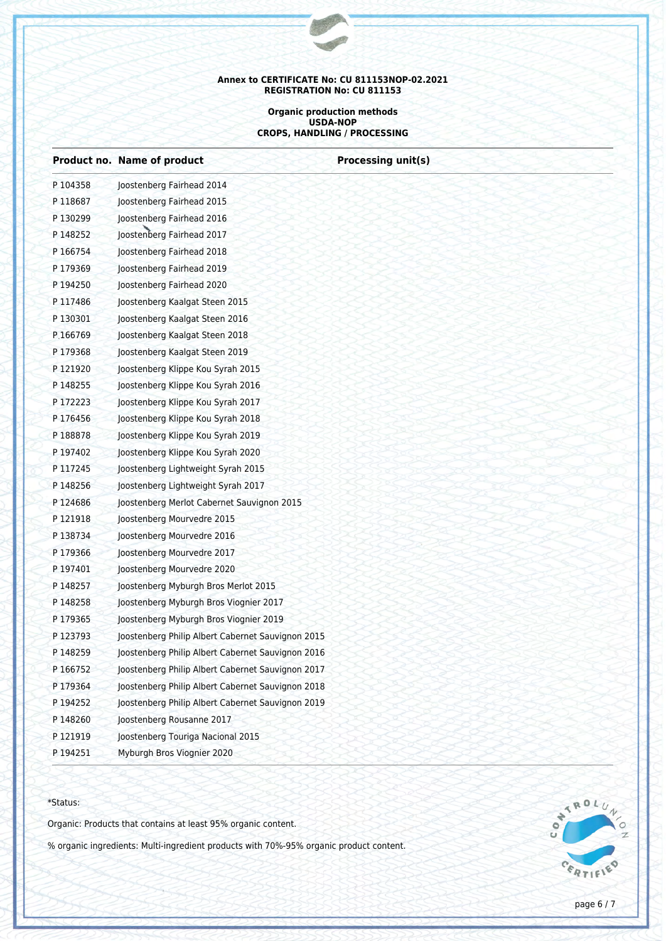#### **Organic production methods USDA-NOP CROPS, HANDLING / PROCESSING**

**Processing unit(s)** 

|          | Product no. Name of product                       |
|----------|---------------------------------------------------|
| P 104358 | Joostenberg Fairhead 2014                         |
| P118687  | Joostenberg Fairhead 2015                         |
| P130299  | Joostenberg Fairhead 2016                         |
| P 148252 | Joostenberg Fairhead 2017                         |
| P 166754 | Joostenberg Fairhead 2018                         |
| P179369  | Joostenberg Fairhead 2019                         |
| P 194250 | Joostenberg Fairhead 2020                         |
| P 117486 | Joostenberg Kaalgat Steen 2015                    |
| P130301  | Joostenberg Kaalgat Steen 2016                    |
| P.166769 | Joostenberg Kaalgat Steen 2018                    |
| P179368  | Joostenberg Kaalgat Steen 2019                    |
| P 121920 | Joostenberg Klippe Kou Syrah 2015                 |
| P 148255 | Joostenberg Klippe Kou Syrah 2016                 |
| P 172223 | Joostenberg Klippe Kou Syrah 2017                 |
| P176456  | Joostenberg Klippe Kou Syrah 2018                 |
| P 188878 | Joostenberg Klippe Kou Syrah 2019                 |
| P 197402 | Joostenberg Klippe Kou Syrah 2020                 |
| P 117245 | Joostenberg Lightweight Syrah 2015                |
| P148256  | Joostenberg Lightweight Syrah 2017                |
| P124686  | Joostenberg Merlot Cabernet Sauvignon 2015        |
| P 121918 | Joostenberg Mourvedre 2015                        |
| P138734  | Joostenberg Mourvedre 2016                        |
| P179366  | Joostenberg Mourvedre 2017                        |
| P 197401 | Joostenberg Mourvedre 2020                        |
| P 148257 | Joostenberg Myburgh Bros Merlot 2015              |
| P 148258 | Joostenberg Myburgh Bros Viognier 2017            |
| P179365  | Joostenberg Myburgh Bros Viognier 2019            |
| P 123793 | Joostenberg Philip Albert Cabernet Sauvignon 2015 |
| P148259  | Joostenberg Philip Albert Cabernet Sauvignon 2016 |
| P 166752 | Joostenberg Philip Albert Cabernet Sauvignon 2017 |
| P 179364 | Joostenberg Philip Albert Cabernet Sauvignon 2018 |
| P 194252 | Joostenberg Philip Albert Cabernet Sauvignon 2019 |
| P 148260 | Joostenberg Rousanne 2017                         |
| P 121919 | Joostenberg Touriga Nacional 2015                 |
| P 194251 | Myburgh Bros Viognier 2020                        |
|          |                                                   |

#### \*Status:

Organic: Products that contains at least 95% organic content.

% organic ingredients: Multi-ingredient products with 70%-95% organic product content.